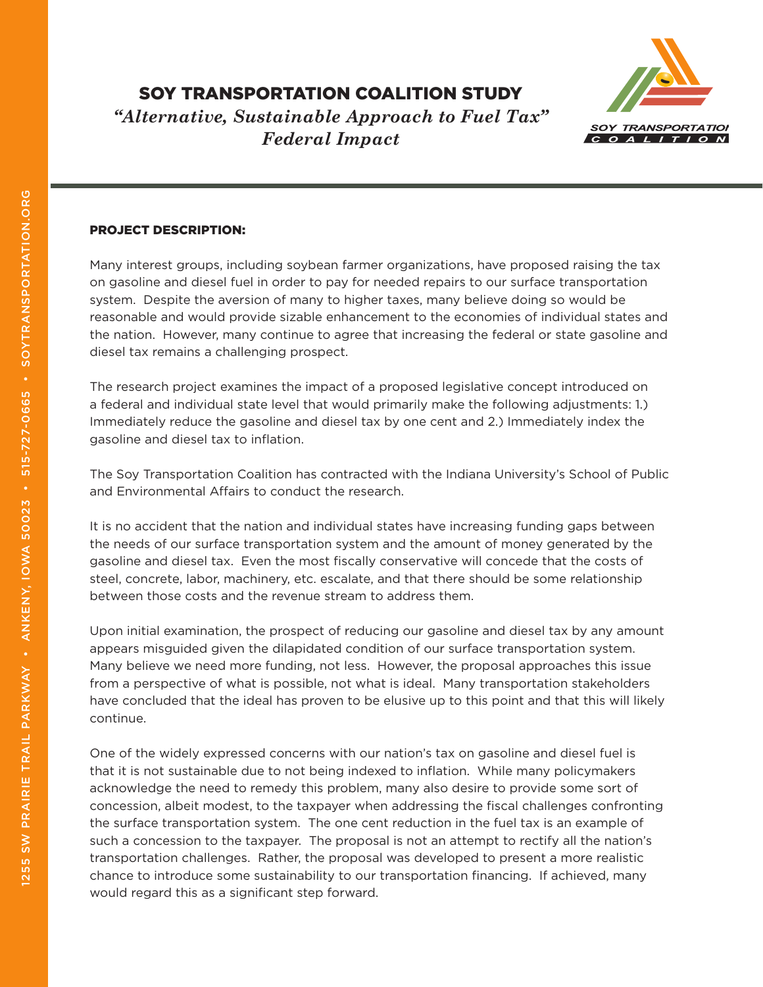# SOY TRANSPORTATION COALITION STUDY *"Alternative, Sustainable Approach to Fuel Tax"*

*Federal Impact*



#### PROJECT DESCRIPTION:

Many interest groups, including soybean farmer organizations, have proposed raising the tax on gasoline and diesel fuel in order to pay for needed repairs to our surface transportation system. Despite the aversion of many to higher taxes, many believe doing so would be reasonable and would provide sizable enhancement to the economies of individual states and the nation. However, many continue to agree that increasing the federal or state gasoline and diesel tax remains a challenging prospect.

The research project examines the impact of a proposed legislative concept introduced on a federal and individual state level that would primarily make the following adjustments: 1.) Immediately reduce the gasoline and diesel tax by one cent and 2.) Immediately index the gasoline and diesel tax to inflation.

The Soy Transportation Coalition has contracted with the Indiana University's School of Public and Environmental Affairs to conduct the research.

It is no accident that the nation and individual states have increasing funding gaps between the needs of our surface transportation system and the amount of money generated by the gasoline and diesel tax. Even the most fiscally conservative will concede that the costs of steel, concrete, labor, machinery, etc. escalate, and that there should be some relationship between those costs and the revenue stream to address them.

Upon initial examination, the prospect of reducing our gasoline and diesel tax by any amount appears misguided given the dilapidated condition of our surface transportation system. Many believe we need more funding, not less. However, the proposal approaches this issue from a perspective of what is possible, not what is ideal. Many transportation stakeholders have concluded that the ideal has proven to be elusive up to this point and that this will likely continue.

One of the widely expressed concerns with our nation's tax on gasoline and diesel fuel is that it is not sustainable due to not being indexed to inflation. While many policymakers acknowledge the need to remedy this problem, many also desire to provide some sort of concession, albeit modest, to the taxpayer when addressing the fiscal challenges confronting the surface transportation system. The one cent reduction in the fuel tax is an example of such a concession to the taxpayer. The proposal is not an attempt to rectify all the nation's transportation challenges. Rather, the proposal was developed to present a more realistic chance to introduce some sustainability to our transportation financing. If achieved, many would regard this as a significant step forward.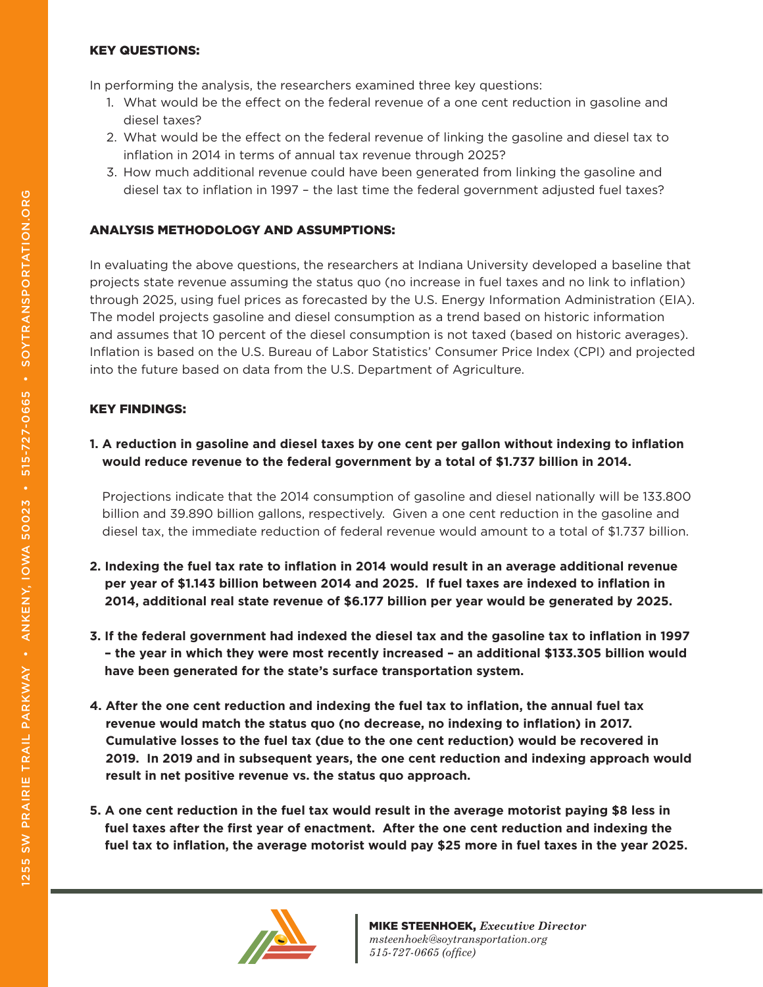#### KEY QUESTIONS:

In performing the analysis, the researchers examined three key questions:

- 1. What would be the effect on the federal revenue of a one cent reduction in gasoline and diesel taxes?
- 2. What would be the effect on the federal revenue of linking the gasoline and diesel tax to inflation in 2014 in terms of annual tax revenue through 2025?
- 3. How much additional revenue could have been generated from linking the gasoline and diesel tax to inflation in 1997 – the last time the federal government adjusted fuel taxes?

### ANALYSIS METHODOLOGY AND ASSUMPTIONS:

In evaluating the above questions, the researchers at Indiana University developed a baseline that projects state revenue assuming the status quo (no increase in fuel taxes and no link to inflation) through 2025, using fuel prices as forecasted by the U.S. Energy Information Administration (EIA). The model projects gasoline and diesel consumption as a trend based on historic information and assumes that 10 percent of the diesel consumption is not taxed (based on historic averages). Inflation is based on the U.S. Bureau of Labor Statistics' Consumer Price Index (CPI) and projected into the future based on data from the U.S. Department of Agriculture.

## KEY FINDINGS:

### **1. A reduction in gasoline and diesel taxes by one cent per gallon without indexing to inflation would reduce revenue to the federal government by a total of \$1.737 billion in 2014.**

Projections indicate that the 2014 consumption of gasoline and diesel nationally will be 133.800 billion and 39.890 billion gallons, respectively. Given a one cent reduction in the gasoline and diesel tax, the immediate reduction of federal revenue would amount to a total of \$1.737 billion.

- **2. Indexing the fuel tax rate to inflation in 2014 would result in an average additional revenue per year of \$1.143 billion between 2014 and 2025. If fuel taxes are indexed to inflation in 2014, additional real state revenue of \$6.177 billion per year would be generated by 2025.**
- **3. If the federal government had indexed the diesel tax and the gasoline tax to inflation in 1997 – the year in which they were most recently increased – an additional \$133.305 billion would have been generated for the state's surface transportation system.**
- **4. After the one cent reduction and indexing the fuel tax to inflation, the annual fuel tax revenue would match the status quo (no decrease, no indexing to inflation) in 2017. Cumulative losses to the fuel tax (due to the one cent reduction) would be recovered in 2019. In 2019 and in subsequent years, the one cent reduction and indexing approach would result in net positive revenue vs. the status quo approach.**
- **5. A one cent reduction in the fuel tax would result in the average motorist paying \$8 less in fuel taxes after the first year of enactment. After the one cent reduction and indexing the fuel tax to inflation, the average motorist would pay \$25 more in fuel taxes in the year 2025.**